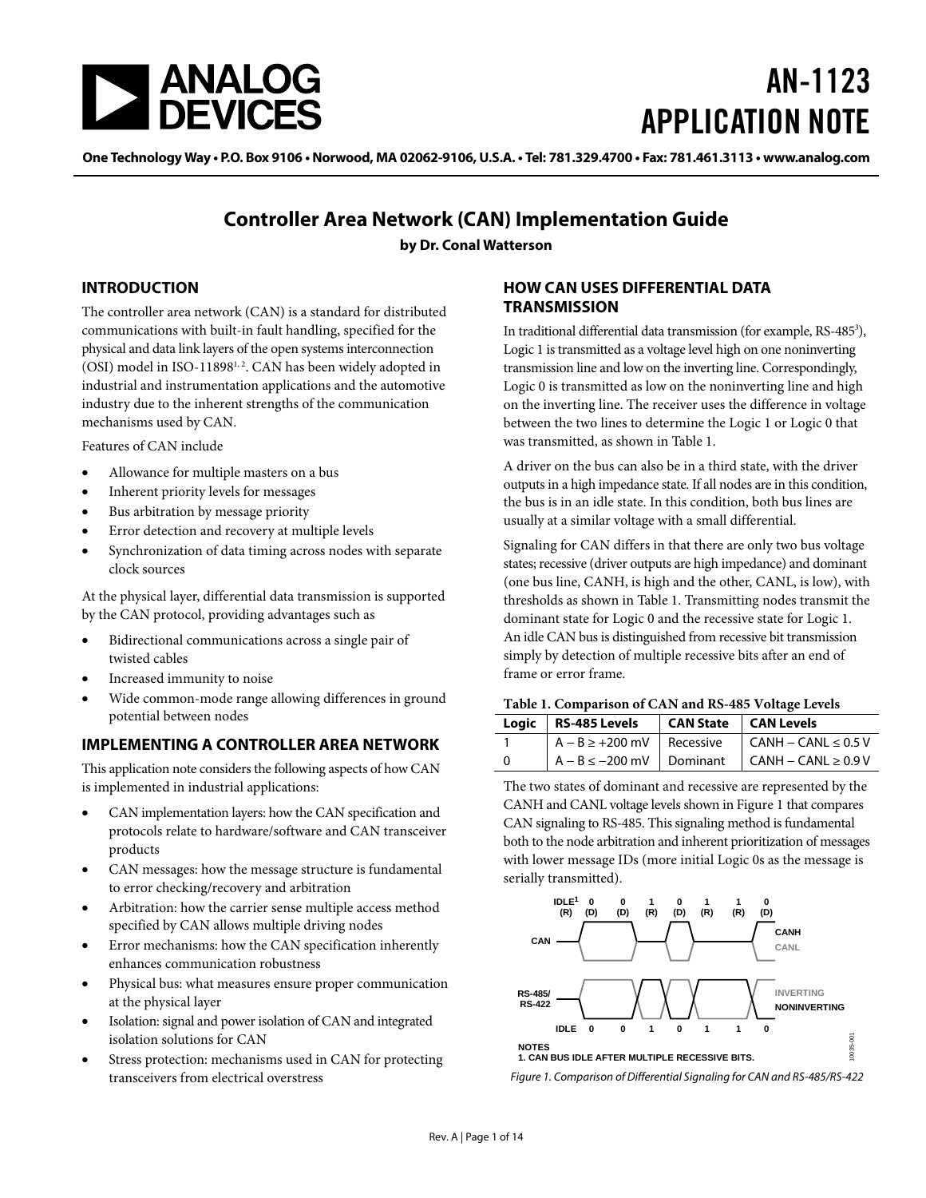<span id="page-0-5"></span>

# AN-1123 APPLICATION NOTE

One Technology Way • P.O. Box 9106 • Norwood, MA 02062-9106, U.S.A. • Tel: 781.329.4700 • Fax: 781.461.3113 • www.analog.com

### **Controller Area Network (CAN) Implementation Guide**

**by Dr. Conal Watterson**

#### <span id="page-0-2"></span>**INTRODUCTION**

The controller area network (CAN) is a standard for distributed communications with built-in fault handling, specified for the physical and data link layers of the open systems interconnection (OSI) model in ISO-11898<sup>1,2</sup>. CAN has been widely adopted in industrial and instrumentation applications and the automotive industry due to the inherent strengths of the communication mechanisms used by CAN.

Features of CAN include

- Allowance for multiple masters on a bus
- Inherent priority levels for messages
- Bus arbitration by message priority
- Error detection and recovery at multiple levels
- Synchronization of data timing across nodes with separate clock sources

At the physical layer, differential data transmission is supported by the CAN protocol, providing advantages such as

- Bidirectional communications across a single pair of twisted cables
- Increased immunity to noise
- Wide common-mode range allowing differences in ground potential between nodes

#### <span id="page-0-3"></span>**IMPLEMENTING A CONTROLLER AREA NETWORK**

This application note considers the following aspects of how CAN is implemented in industrial applications:

- CAN implementation layers: how the CAN specification and protocols relate to hardware/software and CAN transceiver products
- CAN messages: how the message structure is fundamental to error checking/recovery and arbitration
- Arbitration: how the carrier sense multiple access method specified by CAN allows multiple driving nodes
- Error mechanisms: how the CAN specification inherently enhances communication robustness
- Physical bus: what measures ensure proper communication at the physical layer
- Isolation: signal and power isolation of CAN and integrated isolation solutions for CAN
- Stress protection: mechanisms used in CAN for protecting transceivers from electrical overstress

#### <span id="page-0-4"></span>**HOW CAN USES DIFFERENTIAL DATA TRANSMISSION**

In traditional differential data transmission (for example, RS-485<sup>3</sup>), Logic 1 is transmitted as a voltage level high on one noninverting transmission line and low on the inverting line. Correspondingly, Logic 0 is transmitted as low on the noninverting line and high on the inverting line. The receiver uses the difference in voltage between the two lines to determine the Logic 1 or Logic 0 that was transmitted, as shown in [Table 1.](#page-0-0) 

A driver on the bus can also be in a third state, with the driver outputs in a high impedance state. If all nodes are in this condition, the bus is in an idle state. In this condition, both bus lines are usually at a similar voltage with a small differential.

Signaling for CAN differs in that there are only two bus voltage states; recessive (driver outputs are high impedance) and dominant (one bus line, CANH, is high and the other, CANL, is low), with thresholds as shown i[n Table 1.](#page-0-0) Transmitting nodes transmit the dominant state for Logic 0 and the recessive state for Logic 1. An idle CAN bus is distinguished from recessive bit transmission simply by detection of multiple recessive bits after an end of frame or error frame.

#### <span id="page-0-0"></span>**Table 1. Comparison of CAN and RS-485 Voltage Levels**

| Logic   RS-485 Levels   CAN State   CAN Levels |                                                       |
|------------------------------------------------|-------------------------------------------------------|
|                                                | $A - B \ge +200$ mV Recessive CANH - CANL $\le 0.5$ V |
|                                                | $A - B \le -200$ mV Dominant CANH - CANL $\ge 0.9$ V  |

The two states of dominant and recessive are represented by the CANH and CANL voltage levels shown i[n Figure 1](#page-0-1) that compares CAN signaling to RS-485. This signaling method is fundamental both to the node arbitration and inherent prioritization of messages with lower message IDs (more initial Logic 0s as the message is serially transmitted).



<span id="page-0-1"></span>*Figure 1. Comparison of Differential Signaling for CAN and RS-485/RS-422*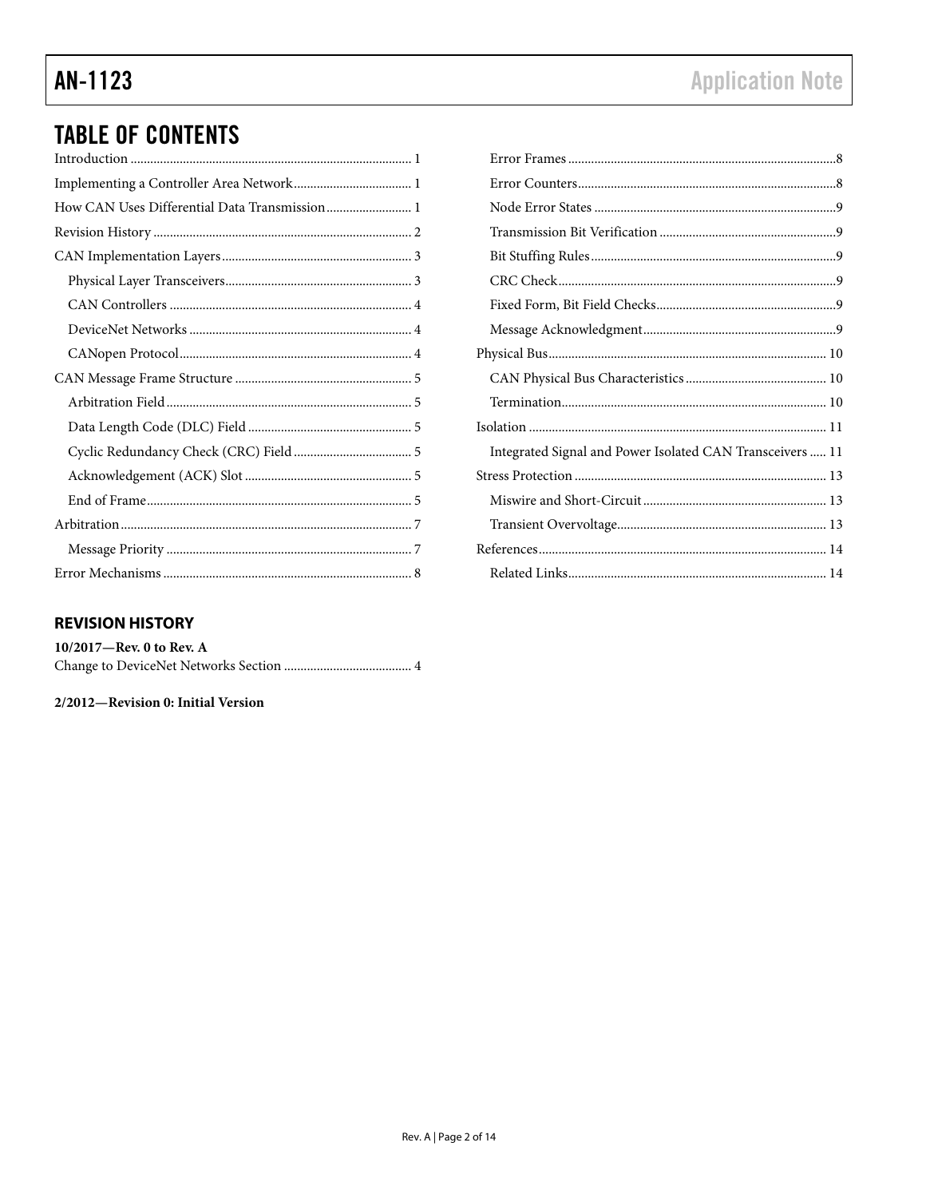## **TABLE OF CONTENTS**

| How CAN Uses Differential Data Transmission 1 |
|-----------------------------------------------|
|                                               |
|                                               |
|                                               |
|                                               |
|                                               |
|                                               |
|                                               |
|                                               |
|                                               |
|                                               |
|                                               |
|                                               |
|                                               |
|                                               |
|                                               |

## Integrated Signal and Power Isolated CAN Transceivers ..... 11

#### <span id="page-1-0"></span>**REVISION HISTORY**

| 10/2017—Rev. 0 to Rev. A |  |
|--------------------------|--|
|                          |  |

2/2012-Revision 0: Initial Version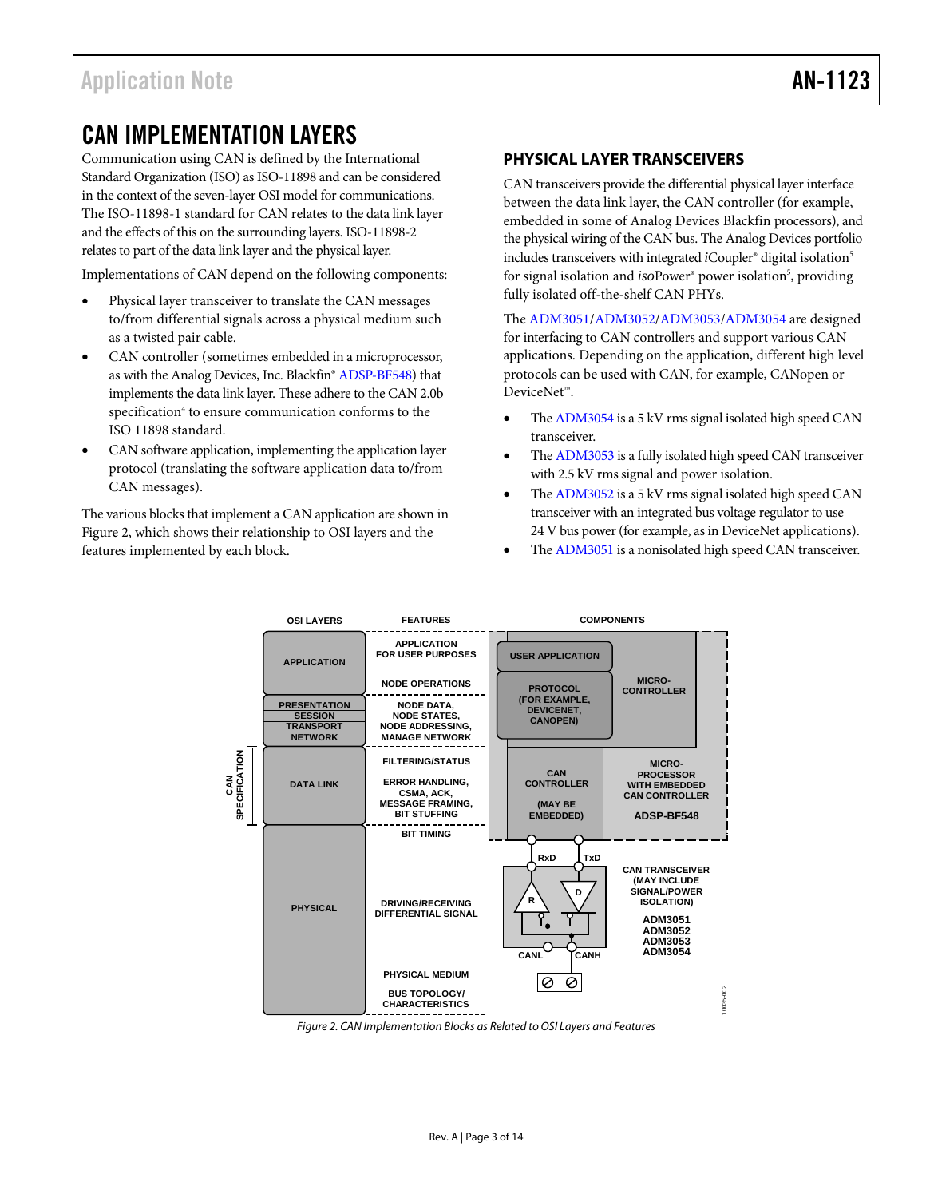## <span id="page-2-0"></span>CAN IMPLEMENTATION LAYERS

Communication using CAN is defined by the International Standard Organization (ISO) as ISO-11898 and can be considered in the context of the seven-layer OSI model for communications. The ISO-11898-1 standard for CAN relates to the data link layer and the effects of this on the surrounding layers. ISO-11898-2 relates to part of the data link layer and the physical layer.

Implementations of CAN depend on the following components:

- Physical layer transceiver to translate the CAN messages to/from differential signals across a physical medium such as a twisted pair cable.
- CAN controller (sometimes embedded in a microprocessor, as with the Analog Devices, Inc. Blackfin[® ADSP-BF548\)](http://www.analog.com/ADSP-BF548?doc=an-1123.pdf) that implements the data link layer. These adhere to the CAN 2.0b specification<sup>4</sup> to ensure communication conforms to the ISO 11898 standard.
- CAN software application, implementing the application layer protocol (translating the software application data to/from CAN messages).

The various blocks that implement a CAN application are shown in [Figure 2,](#page-2-2) which shows their relationship to OSI layers and the features implemented by each block.

#### <span id="page-2-1"></span>**PHYSICAL LAYER TRANSCEIVERS**

CAN transceivers provide the differential physical layer interface between the data link layer, the CAN controller (for example, embedded in some of Analog Devices Blackfin processors), and the physical wiring of the CAN bus. The Analog Devices portfolio includes transceivers with integrated *i*Coupler<sup>®</sup> digital isolation<sup>5</sup> for signal isolation and *iso*Power® power isolation<sup>5</sup>, providing fully isolated off-the-shelf CAN PHYs.

The [ADM3051](http://www.analog.com/ADM3051?doc=an-1123.pdf)[/ADM3052](http://www.analog.com/ADM3052?doc=an-1123.pdf)[/ADM3053/](http://www.analog.com/ADM3053?doc=an-1123.pdf)[ADM3054](http://www.analog.com/ADM3054?doc=an-1123.pdf) are designed for interfacing to CAN controllers and support various CAN applications. Depending on the application, different high level protocols can be used with CAN, for example, CANopen or DeviceNet™.

- Th[e ADM3054](http://www.analog.com/ADM3054?doc=an-1123.pdf) is a 5 kV rms signal isolated high speed CAN transceiver.
- Th[e ADM3053](http://www.analog.com/ADM3053?doc=an-1123.pdf) is a fully isolated high speed CAN transceiver with 2.5 kV rms signal and power isolation.
- Th[e ADM3052](http://www.analog.com/ADM3052?doc=an-1123.pdf) is a 5 kV rms signal isolated high speed CAN transceiver with an integrated bus voltage regulator to use 24 V bus power (for example, as in DeviceNet applications).
- Th[e ADM3051](http://www.analog.com/ADM3051?doc=an-1123.pdf) is a nonisolated high speed CAN transceiver.



<span id="page-2-2"></span>Figure 2. CAN Implementation Blocks as Related to OSI Layers and Features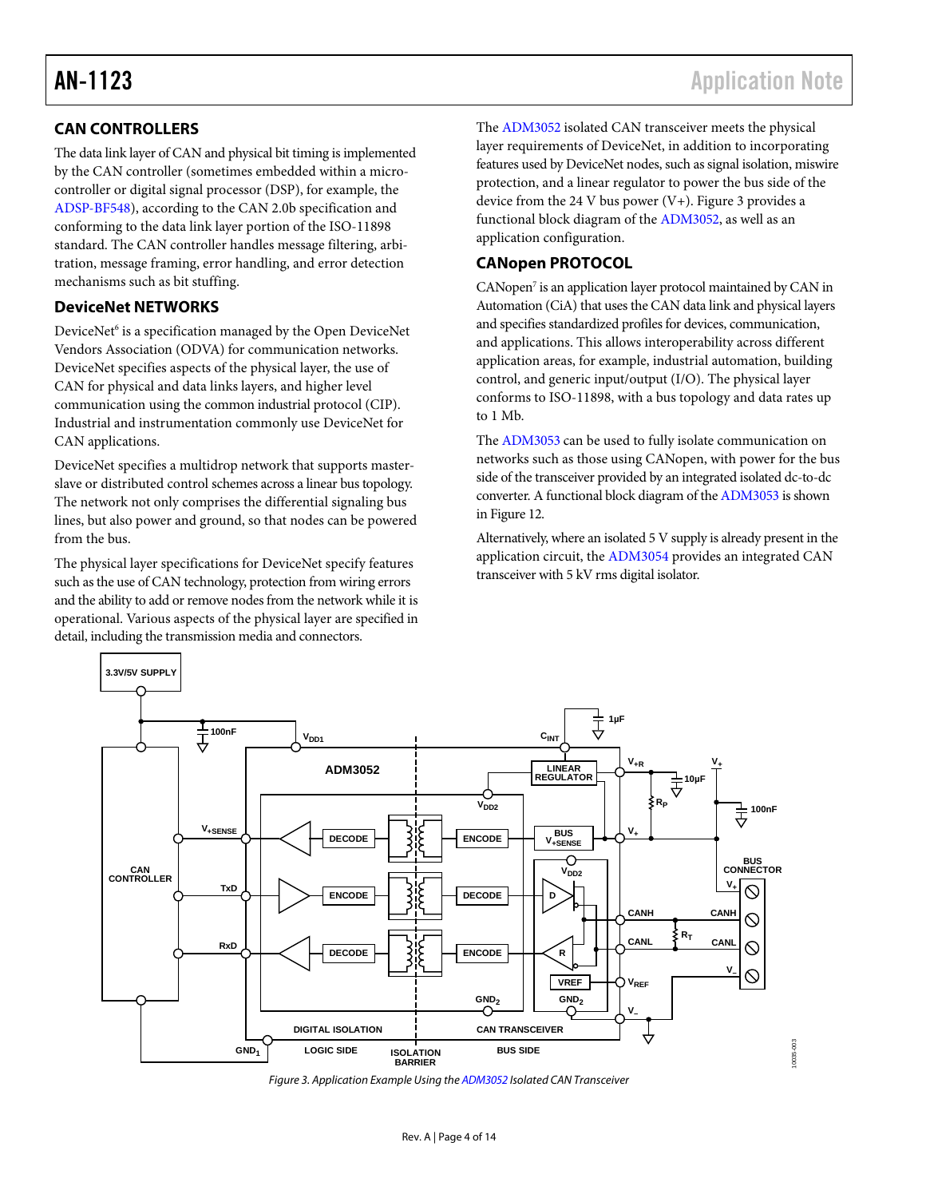### <span id="page-3-0"></span>**CAN CONTROLLERS**

The data link layer of CAN and physical bit timing is implemented by the CAN controller (sometimes embedded within a microcontroller or digital signal processor (DSP), for example, the [ADSP-BF548\)](http://www.analog.com/ADSP-BF548?doc=an-1123.pdf), according to the CAN 2.0b specification and conforming to the data link layer portion of the ISO-11898 standard. The CAN controller handles message filtering, arbitration, message framing, error handling, and error detection mechanisms such as bit stuffing.

#### <span id="page-3-1"></span>**DeviceNet NETWORKS**

DeviceNet<sup>6</sup> is a specification managed by the Open DeviceNet Vendors Association (ODVA) for communication networks. DeviceNet specifies aspects of the physical layer, the use of CAN for physical and data links layers, and higher level communication using the common industrial protocol (CIP). Industrial and instrumentation commonly use DeviceNet for CAN applications.

DeviceNet specifies a multidrop network that supports masterslave or distributed control schemes across a linear bus topology. The network not only comprises the differential signaling bus lines, but also power and ground, so that nodes can be powered from the bus.

The physical layer specifications for DeviceNet specify features such as the use of CAN technology, protection from wiring errors and the ability to add or remove nodes from the network while it is operational. Various aspects of the physical layer are specified in detail, including the transmission media and connectors.

The [ADM3052](http://www.analog.com/ADM3052?doc=an-1123.pdf) isolated CAN transceiver meets the physical layer requirements of DeviceNet, in addition to incorporating features used by DeviceNet nodes, such as signal isolation, miswire protection, and a linear regulator to power the bus side of the device from the 24 V bus power  $(V+)$ . [Figure 3](#page-3-3) provides a functional block diagram of the [ADM3052,](http://www.analog.com/ADM3052?doc=an-1123.pdf) as well as an application configuration.

### <span id="page-3-2"></span>**CANopen PROTOCOL**

CANopen<sup>7</sup> is an application layer protocol maintained by CAN in Automation (CiA) that uses the CAN data link and physical layers and specifies standardized profiles for devices, communication, and applications. This allows interoperability across different application areas, for example, industrial automation, building control, and generic input/output (I/O). The physical layer conforms to ISO-11898, with a bus topology and data rates up to 1 Mb.

The [ADM3053 c](http://www.analog.com/ADM3053?doc=an-1123.pdf)an be used to fully isolate communication on networks such as those using CANopen, with power for the bus side of the transceiver provided by an integrated isolated dc-to-dc converter. A functional block diagram of th[e ADM3053 i](http://www.analog.com/ADM3053?doc=an-1123.pdf)s shown i[n Figure 12.](#page-11-0)

Alternatively, where an isolated 5 V supply is already present in the application circuit, th[e ADM3054 p](http://www.analog.com/ADM3054?doc=an-1123.pdf)rovides an integrated CAN transceiver with 5 kV rms digital isolator.



<span id="page-3-3"></span>Figure 3. Application Example Using th[e ADM3052 I](http://www.analog.com/ADM3052?doc=an-1123.pdf)solated CAN Transceiver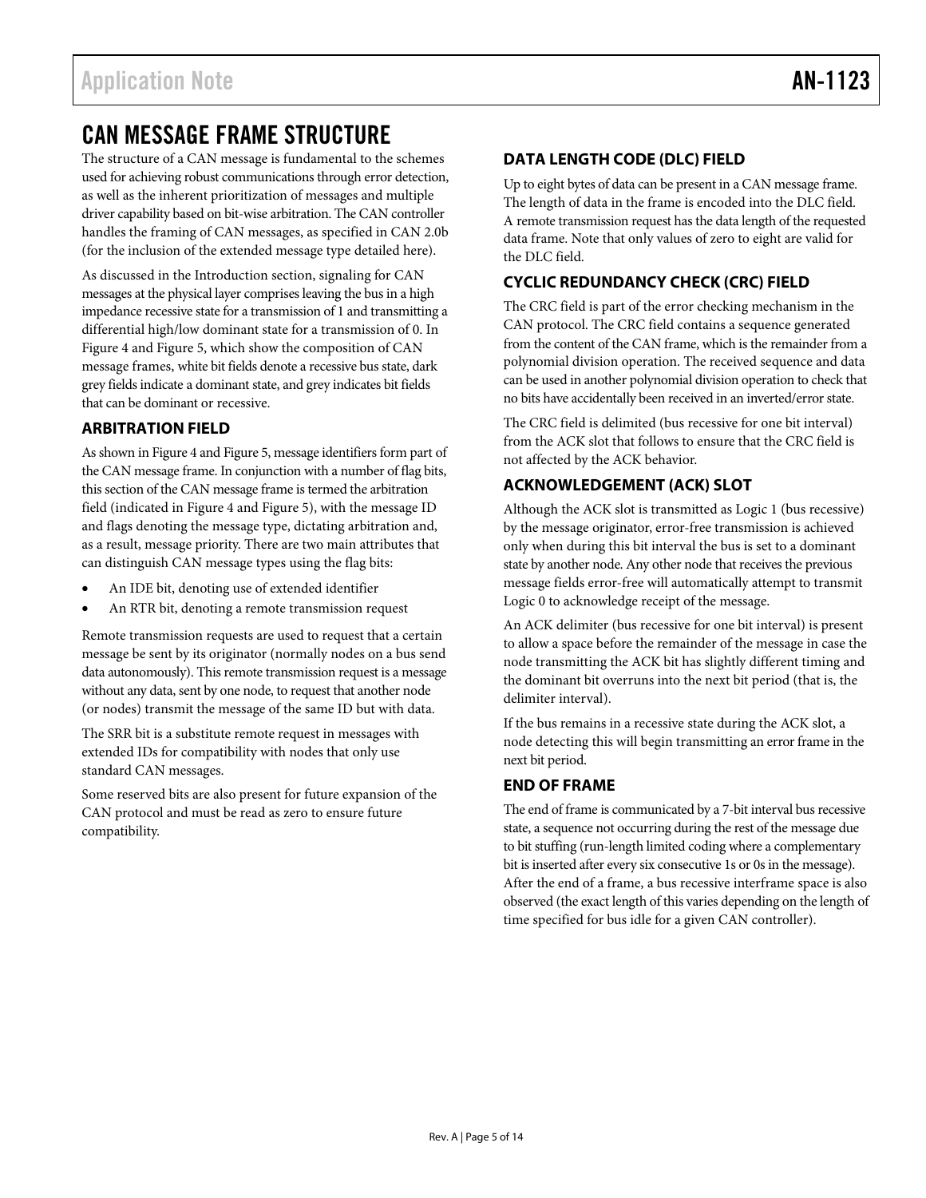## <span id="page-4-0"></span>CAN MESSAGE FRAME STRUCTURE

The structure of a CAN message is fundamental to the schemes used for achieving robust communications through error detection, as well as the inherent prioritization of messages and multiple driver capability based on bit-wise arbitration. The CAN controller handles the framing of CAN messages, as specified in CAN 2.0b (for the inclusion of the extended message type detailed here).

As discussed in the [Introduction](#page-0-5) section, signaling for CAN messages at the physical layer comprises leaving the bus in a high impedance recessive state for a transmission of 1 and transmitting a differential high/low dominant state for a transmission of 0. In [Figure 4](#page-5-0) an[d Figure 5,](#page-5-1) which show the composition of CAN message frames, white bit fields denote a recessive bus state, dark grey fields indicate a dominant state, and grey indicates bit fields that can be dominant or recessive.

### <span id="page-4-1"></span>**ARBITRATION FIELD**

As shown i[n Figure 4](#page-5-0) an[d Figure 5,](#page-5-1) message identifiers form part of the CAN message frame. In conjunction with a number of flag bits, this section of the CAN message frame is termed the arbitration field (indicated in [Figure 4](#page-5-0) an[d Figure 5\)](#page-5-1), with the message ID and flags denoting the message type, dictating arbitration and, as a result, message priority. There are two main attributes that can distinguish CAN message types using the flag bits:

- An IDE bit, denoting use of extended identifier
- An RTR bit, denoting a remote transmission request

Remote transmission requests are used to request that a certain message be sent by its originator (normally nodes on a bus send data autonomously). This remote transmission request is a message without any data, sent by one node, to request that another node (or nodes) transmit the message of the same ID but with data.

The SRR bit is a substitute remote request in messages with extended IDs for compatibility with nodes that only use standard CAN messages.

Some reserved bits are also present for future expansion of the CAN protocol and must be read as zero to ensure future compatibility.

#### <span id="page-4-2"></span>**DATA LENGTH CODE (DLC) FIELD**

Up to eight bytes of data can be present in a CAN message frame. The length of data in the frame is encoded into the DLC field. A remote transmission request has the data length of the requested data frame. Note that only values of zero to eight are valid for the DLC field.

### <span id="page-4-3"></span>**CYCLIC REDUNDANCY CHECK (CRC) FIELD**

The CRC field is part of the error checking mechanism in the CAN protocol. The CRC field contains a sequence generated from the content of the CAN frame, which is the remainder from a polynomial division operation. The received sequence and data can be used in another polynomial division operation to check that no bits have accidentally been received in an inverted/error state.

The CRC field is delimited (bus recessive for one bit interval) from the ACK slot that follows to ensure that the CRC field is not affected by the ACK behavior.

#### <span id="page-4-4"></span>**ACKNOWLEDGEMENT (ACK) SLOT**

Although the ACK slot is transmitted as Logic 1 (bus recessive) by the message originator, error-free transmission is achieved only when during this bit interval the bus is set to a dominant state by another node. Any other node that receives the previous message fields error-free will automatically attempt to transmit Logic 0 to acknowledge receipt of the message.

An ACK delimiter (bus recessive for one bit interval) is present to allow a space before the remainder of the message in case the node transmitting the ACK bit has slightly different timing and the dominant bit overruns into the next bit period (that is, the delimiter interval).

If the bus remains in a recessive state during the ACK slot, a node detecting this will begin transmitting an error frame in the next bit period.

#### <span id="page-4-5"></span>**END OF FRAME**

The end of frame is communicated by a 7-bit interval bus recessive state, a sequence not occurring during the rest of the message due to bit stuffing (run-length limited coding where a complementary bit is inserted after every six consecutive 1s or 0s in the message). After the end of a frame, a bus recessive interframe space is also observed (the exact length of this varies depending on the length of time specified for bus idle for a given CAN controller).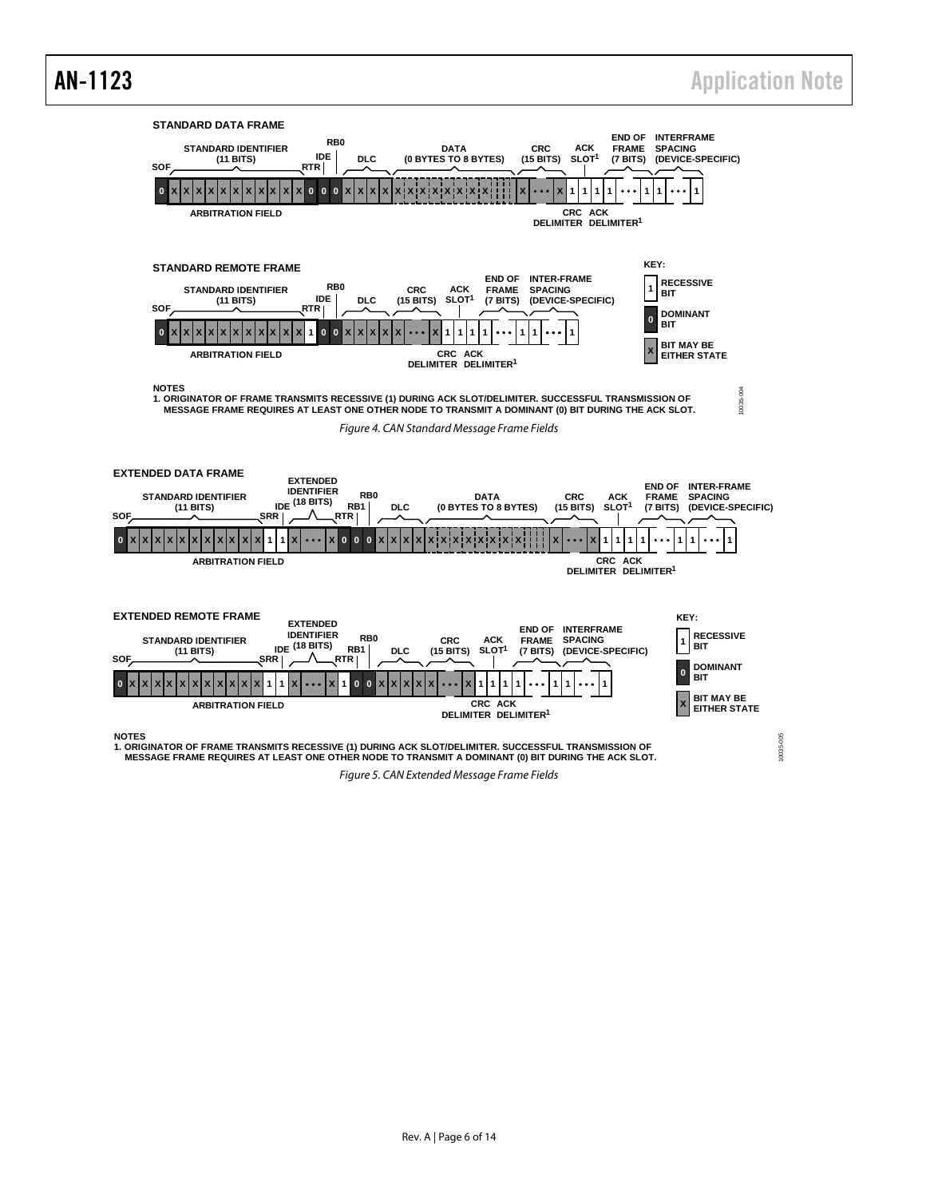<span id="page-5-0"></span>![](_page_5_Figure_2.jpeg)

<span id="page-5-1"></span>Figure 5. CAN Extended Message Frame Fields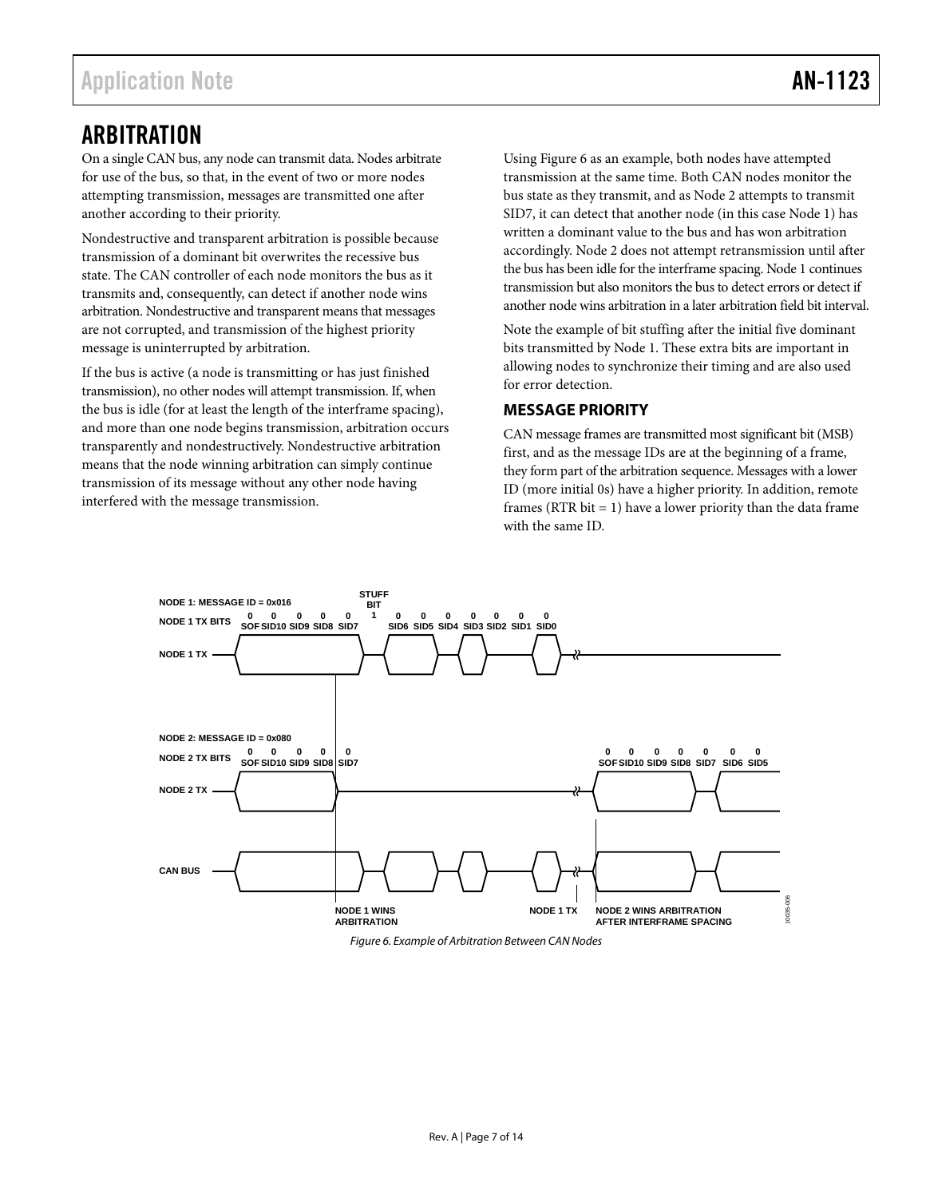## <span id="page-6-0"></span>ARBITRATION

On a single CAN bus, any node can transmit data. Nodes arbitrate for use of the bus, so that, in the event of two or more nodes attempting transmission, messages are transmitted one after another according to their priority.

Nondestructive and transparent arbitration is possible because transmission of a dominant bit overwrites the recessive bus state. The CAN controller of each node monitors the bus as it transmits and, consequently, can detect if another node wins arbitration. Nondestructive and transparent means that messages are not corrupted, and transmission of the highest priority message is uninterrupted by arbitration.

If the bus is active (a node is transmitting or has just finished transmission), no other nodes will attempt transmission. If, when the bus is idle (for at least the length of the interframe spacing), and more than one node begins transmission, arbitration occurs transparently and nondestructively. Nondestructive arbitration means that the node winning arbitration can simply continue transmission of its message without any other node having interfered with the message transmission.

Usin[g Figure 6](#page-6-2) as an example, both nodes have attempted transmission at the same time. Both CAN nodes monitor the bus state as they transmit, and as Node 2 attempts to transmit SID7, it can detect that another node (in this case Node 1) has written a dominant value to the bus and has won arbitration accordingly. Node 2 does not attempt retransmission until after the bus has been idle for the interframe spacing. Node 1 continues transmission but also monitors the bus to detect errors or detect if another node wins arbitration in a later arbitration field bit interval.

Note the example of bit stuffing after the initial five dominant bits transmitted by Node 1. These extra bits are important in allowing nodes to synchronize their timing and are also used for error detection.

#### <span id="page-6-1"></span>**MESSAGE PRIORITY**

CAN message frames are transmitted most significant bit (MSB) first, and as the message IDs are at the beginning of a frame, they form part of the arbitration sequence. Messages with a lower ID (more initial 0s) have a higher priority. In addition, remote frames (RTR bit  $= 1$ ) have a lower priority than the data frame with the same ID.

![](_page_6_Figure_10.jpeg)

<span id="page-6-2"></span>*Figure 6. Example of Arbitration Between CAN Nodes*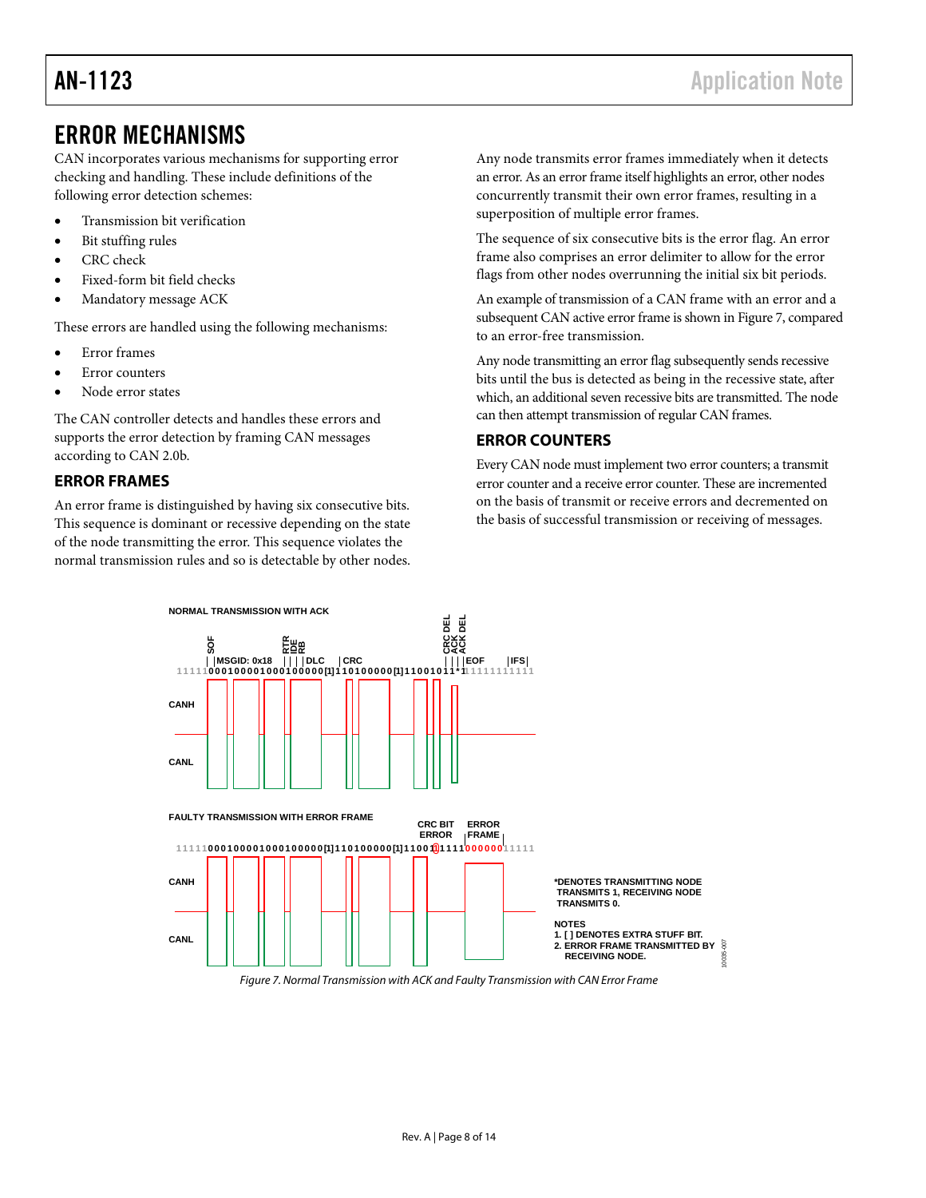## <span id="page-7-0"></span>ERROR MECHANISMS

CAN incorporates various mechanisms for supporting error checking and handling. These include definitions of the following error detection schemes:

- Transmission bit verification
- Bit stuffing rules
- CRC check
- Fixed-form bit field checks
- Mandatory message ACK

These errors are handled using the following mechanisms:

- **Error** frames
- **Error** counters
- Node error states

The CAN controller detects and handles these errors and supports the error detection by framing CAN messages according to CAN 2.0b.

#### <span id="page-7-1"></span>**ERROR FRAMES**

An error frame is distinguished by having six consecutive bits. This sequence is dominant or recessive depending on the state of the node transmitting the error. This sequence violates the normal transmission rules and so is detectable by other nodes.

Any node transmits error frames immediately when it detects an error. As an error frame itself highlights an error, other nodes concurrently transmit their own error frames, resulting in a superposition of multiple error frames.

The sequence of six consecutive bits is the error flag. An error frame also comprises an error delimiter to allow for the error flags from other nodes overrunning the initial six bit periods.

An example of transmission of a CAN frame with an error and a subsequent CAN active error frame is shown i[n Figure 7,](#page-7-3) compared to an error-free transmission.

Any node transmitting an error flag subsequently sends recessive bits until the bus is detected as being in the recessive state, after which, an additional seven recessive bits are transmitted. The node can then attempt transmission of regular CAN frames.

#### <span id="page-7-2"></span>**ERROR COUNTERS**

Every CAN node must implement two error counters; a transmit error counter and a receive error counter. These are incremented on the basis of transmit or receive errors and decremented on the basis of successful transmission or receiving of messages.

![](_page_7_Figure_22.jpeg)

<span id="page-7-3"></span>*Figure 7. Normal Transmission with ACK and Faulty Transmission with CAN Error Frame*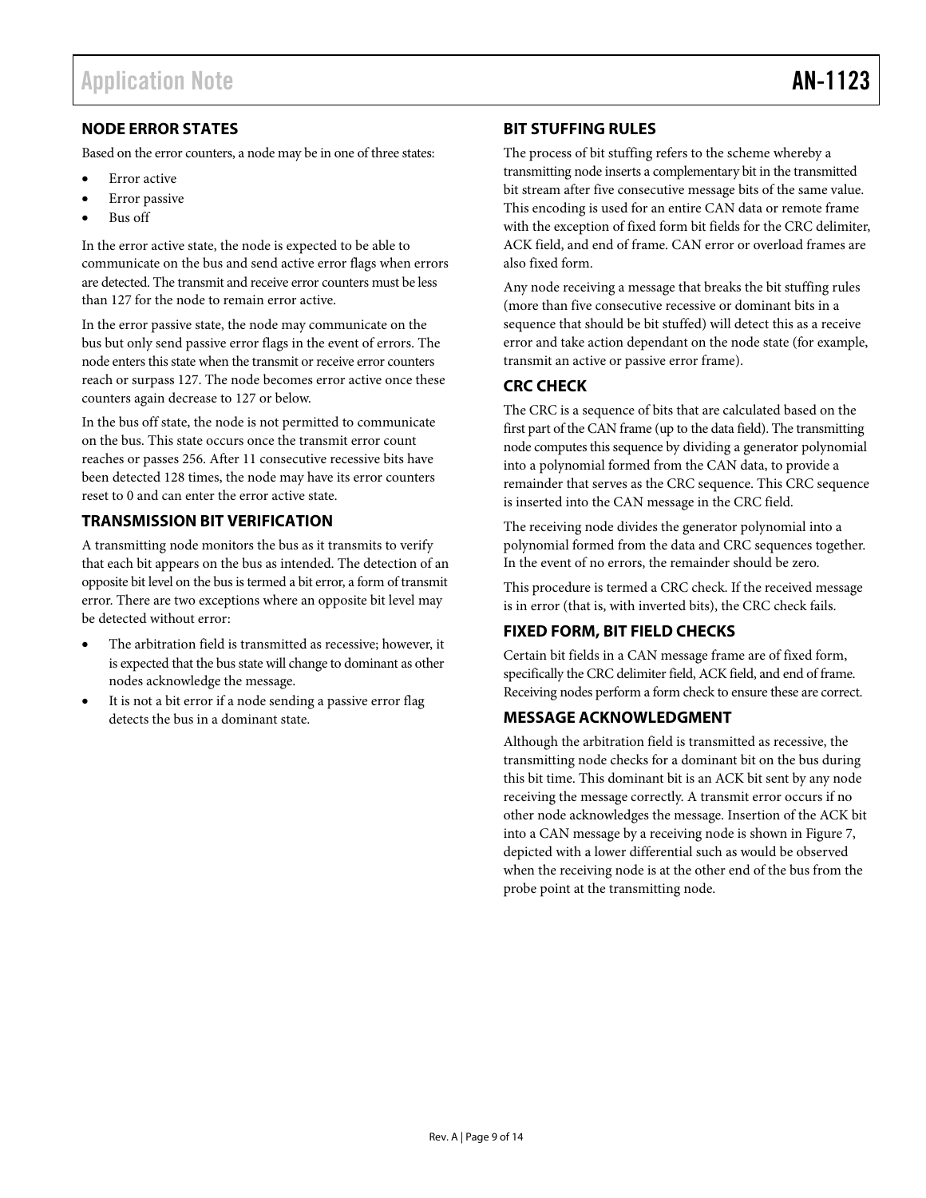### <span id="page-8-0"></span>**NODE ERROR STATES**

Based on the error counters, a node may be in one of three states:

- Error active
- Error passive
- Bus off

In the error active state, the node is expected to be able to communicate on the bus and send active error flags when errors are detected. The transmit and receive error counters must be less than 127 for the node to remain error active.

In the error passive state, the node may communicate on the bus but only send passive error flags in the event of errors. The node enters this state when the transmit or receive error counters reach or surpass 127. The node becomes error active once these counters again decrease to 127 or below.

In the bus off state, the node is not permitted to communicate on the bus. This state occurs once the transmit error count reaches or passes 256. After 11 consecutive recessive bits have been detected 128 times, the node may have its error counters reset to 0 and can enter the error active state.

#### <span id="page-8-1"></span>**TRANSMISSION BIT VERIFICATION**

A transmitting node monitors the bus as it transmits to verify that each bit appears on the bus as intended. The detection of an opposite bit level on the bus is termed a bit error, a form of transmit error. There are two exceptions where an opposite bit level may be detected without error:

- The arbitration field is transmitted as recessive; however, it is expected that the bus state will change to dominant as other nodes acknowledge the message.
- It is not a bit error if a node sending a passive error flag detects the bus in a dominant state.

#### <span id="page-8-2"></span>**BIT STUFFING RULES**

The process of bit stuffing refers to the scheme whereby a transmitting node inserts a complementary bit in the transmitted bit stream after five consecutive message bits of the same value. This encoding is used for an entire CAN data or remote frame with the exception of fixed form bit fields for the CRC delimiter, ACK field, and end of frame. CAN error or overload frames are also fixed form.

Any node receiving a message that breaks the bit stuffing rules (more than five consecutive recessive or dominant bits in a sequence that should be bit stuffed) will detect this as a receive error and take action dependant on the node state (for example, transmit an active or passive error frame).

### <span id="page-8-3"></span>**CRC CHECK**

The CRC is a sequence of bits that are calculated based on the first part of the CAN frame (up to the data field). The transmitting node computes this sequence by dividing a generator polynomial into a polynomial formed from the CAN data, to provide a remainder that serves as the CRC sequence. This CRC sequence is inserted into the CAN message in the CRC field.

The receiving node divides the generator polynomial into a polynomial formed from the data and CRC sequences together. In the event of no errors, the remainder should be zero.

This procedure is termed a CRC check. If the received message is in error (that is, with inverted bits), the CRC check fails.

#### <span id="page-8-4"></span>**FIXED FORM, BIT FIELD CHECKS**

Certain bit fields in a CAN message frame are of fixed form, specifically the CRC delimiter field, ACK field, and end of frame. Receiving nodes perform a form check to ensure these are correct.

#### <span id="page-8-5"></span>**MESSAGE ACKNOWLEDGMENT**

Although the arbitration field is transmitted as recessive, the transmitting node checks for a dominant bit on the bus during this bit time. This dominant bit is an ACK bit sent by any node receiving the message correctly. A transmit error occurs if no other node acknowledges the message. Insertion of the ACK bit into a CAN message by a receiving node is shown in [Figure 7,](#page-7-3) depicted with a lower differential such as would be observed when the receiving node is at the other end of the bus from the probe point at the transmitting node.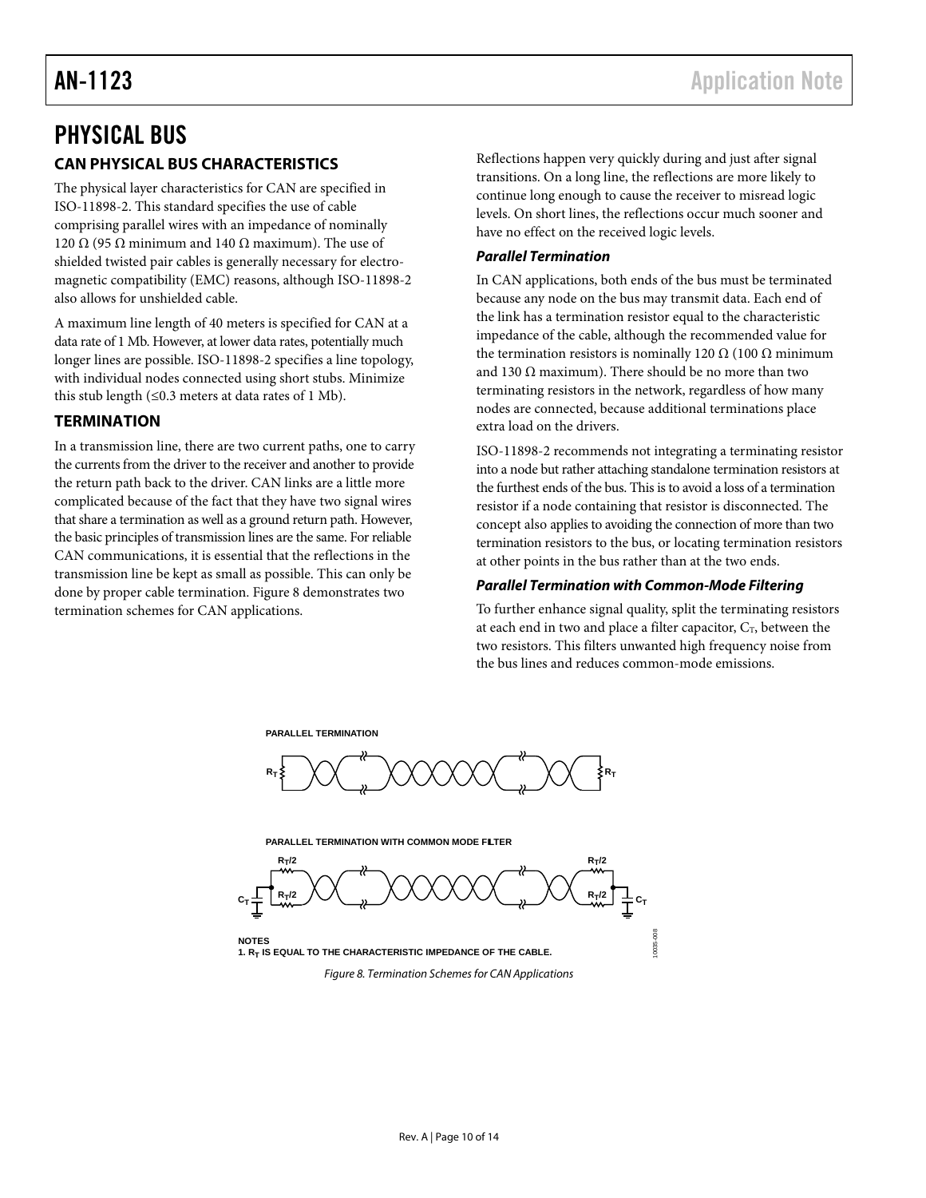## <span id="page-9-1"></span><span id="page-9-0"></span>PHYSICAL BUS **CAN PHYSICAL BUS CHARACTERISTICS**

The physical layer characteristics for CAN are specified in ISO-11898-2. This standard specifies the use of cable comprising parallel wires with an impedance of nominally 120 Ω (95 Ω minimum and 140 Ω maximum). The use of shielded twisted pair cables is generally necessary for electromagnetic compatibility (EMC) reasons, although ISO-11898-2 also allows for unshielded cable.

A maximum line length of 40 meters is specified for CAN at a data rate of 1 Mb. However, at lower data rates, potentially much longer lines are possible. ISO-11898-2 specifies a line topology, with individual nodes connected using short stubs. Minimize this stub length  $(\leq 0.3$  meters at data rates of 1 Mb).

#### <span id="page-9-2"></span>**TERMINATION**

In a transmission line, there are two current paths, one to carry the currents from the driver to the receiver and another to provide the return path back to the driver. CAN links are a little more complicated because of the fact that they have two signal wires that share a termination as well as a ground return path. However, the basic principles of transmission lines are the same. For reliable CAN communications, it is essential that the reflections in the transmission line be kept as small as possible. This can only be done by proper cable termination[. Figure 8](#page-9-3) demonstrates two termination schemes for CAN applications.

Reflections happen very quickly during and just after signal transitions. On a long line, the reflections are more likely to continue long enough to cause the receiver to misread logic levels. On short lines, the reflections occur much sooner and have no effect on the received logic levels.

#### *Parallel Termination*

In CAN applications, both ends of the bus must be terminated because any node on the bus may transmit data. Each end of the link has a termination resistor equal to the characteristic impedance of the cable, although the recommended value for the termination resistors is nominally 120  $Ω(100 Ω minimum)$ and 130  $\Omega$  maximum). There should be no more than two terminating resistors in the network, regardless of how many nodes are connected, because additional terminations place extra load on the drivers.

ISO-11898-2 recommends not integrating a terminating resistor into a node but rather attaching standalone termination resistors at the furthest ends of the bus. This is to avoid a loss of a termination resistor if a node containing that resistor is disconnected. The concept also applies to avoiding the connection of more than two termination resistors to the bus, or locating termination resistors at other points in the bus rather than at the two ends.

#### *Parallel Termination with Common-Mode Filtering*

To further enhance signal quality, split the terminating resistors at each end in two and place a filter capacitor,  $C_T$ , between the two resistors. This filters unwanted high frequency noise from the bus lines and reduces common-mode emissions.

![](_page_9_Figure_13.jpeg)

<span id="page-9-3"></span>*Figure 8. Termination Schemes for CAN Applications*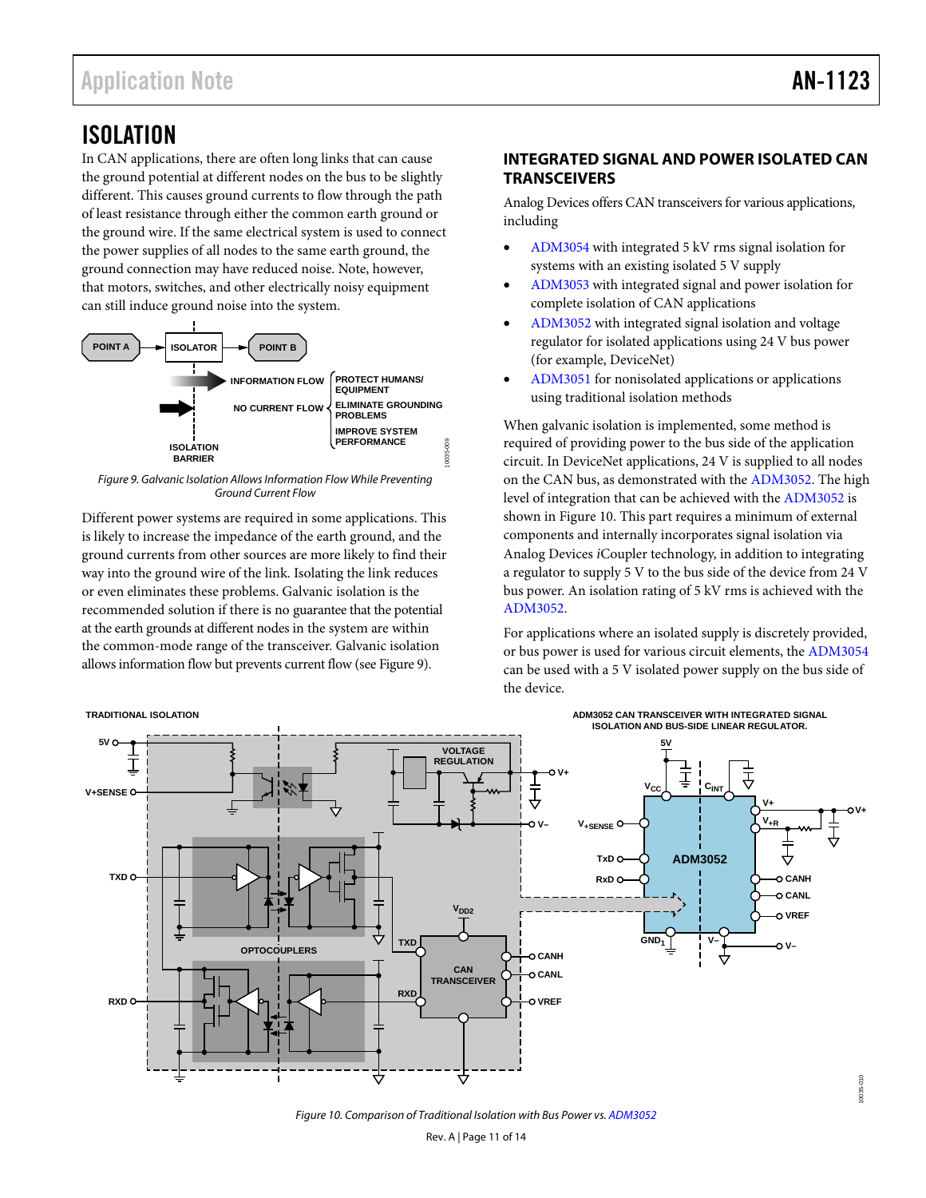## <span id="page-10-0"></span>ISOLATION

In CAN applications, there are often long links that can cause the ground potential at different nodes on the bus to be slightly different. This causes ground currents to flow through the path of least resistance through either the common earth ground or the ground wire. If the same electrical system is used to connect the power supplies of all nodes to the same earth ground, the ground connection may have reduced noise. Note, however, that motors, switches, and other electrically noisy equipment can still induce ground noise into the system.

![](_page_10_Figure_4.jpeg)

<span id="page-10-2"></span>Figure 9. Galvanic Isolation Allows Information Flow While Preventing Ground Current Flow

Different power systems are required in some applications. This is likely to increase the impedance of the earth ground, and the ground currents from other sources are more likely to find their way into the ground wire of the link. Isolating the link reduces or even eliminates these problems. Galvanic isolation is the recommended solution if there is no guarantee that the potential at the earth grounds at different nodes in the system are within the common-mode range of the transceiver. Galvanic isolation allows information flow but prevents current flow (se[e Figure 9\)](#page-10-2).

#### <span id="page-10-1"></span>**TRADITIONAL ISOLATION**

#### **INTEGRATED SIGNAL AND POWER ISOLATED CAN TRANSCEIVERS**

Analog Devices offers CAN transceivers for various applications, including

- [ADM3054](http://www.analog.com/ADM3054?doc=an-1123.pdf) with integrated 5 kV rms signal isolation for systems with an existing isolated 5 V supply
- [ADM3053](http://www.analog.com/ADM3053?doc=an-1123.pdf) with integrated signal and power isolation for complete isolation of CAN applications
- [ADM3052](http://www.analog.com/ADM3052?doc=an-1123.pdf) with integrated signal isolation and voltage regulator for isolated applications using 24 V bus power (for example, DeviceNet)
- [ADM3051](http://www.analog.com/ADM3051?doc=an-1123.pdf) for nonisolated applications or applications using traditional isolation methods

When galvanic isolation is implemented, some method is required of providing power to the bus side of the application circuit. In DeviceNet applications, 24 V is supplied to all nodes on the CAN bus, as demonstrated with th[e ADM3052.](http://www.analog.com/ADM3052?doc=an-1123.pdf) The high level of integration that can be achieved with th[e ADM3052 i](http://www.analog.com/ADM3052?doc=an-1123.pdf)s shown in [Figure 10.](#page-10-3) This part requires a minimum of external components and internally incorporates signal isolation via Analog Devices *i*Coupler technology, in addition to integrating a regulator to supply 5 V to the bus side of the device from 24 V bus power. An isolation rating of 5 kV rms is achieved with the [ADM3052.](http://www.analog.com/ADM3052?doc=an-1123.pdf)

For applications where an isolated supply is discretely provided, or bus power is used for various circuit elements, th[e ADM3054](http://www.analog.com/ADM3054?doc=an-1123.pdf) can be used with a 5 V isolated power supply on the bus side of the device.

![](_page_10_Figure_16.jpeg)

<span id="page-10-3"></span>Figure 10. Comparison of Traditional Isolation with Bus Power vs[. ADM3052](http://www.analog.com/ADM3052?doc=an-1123.pdf)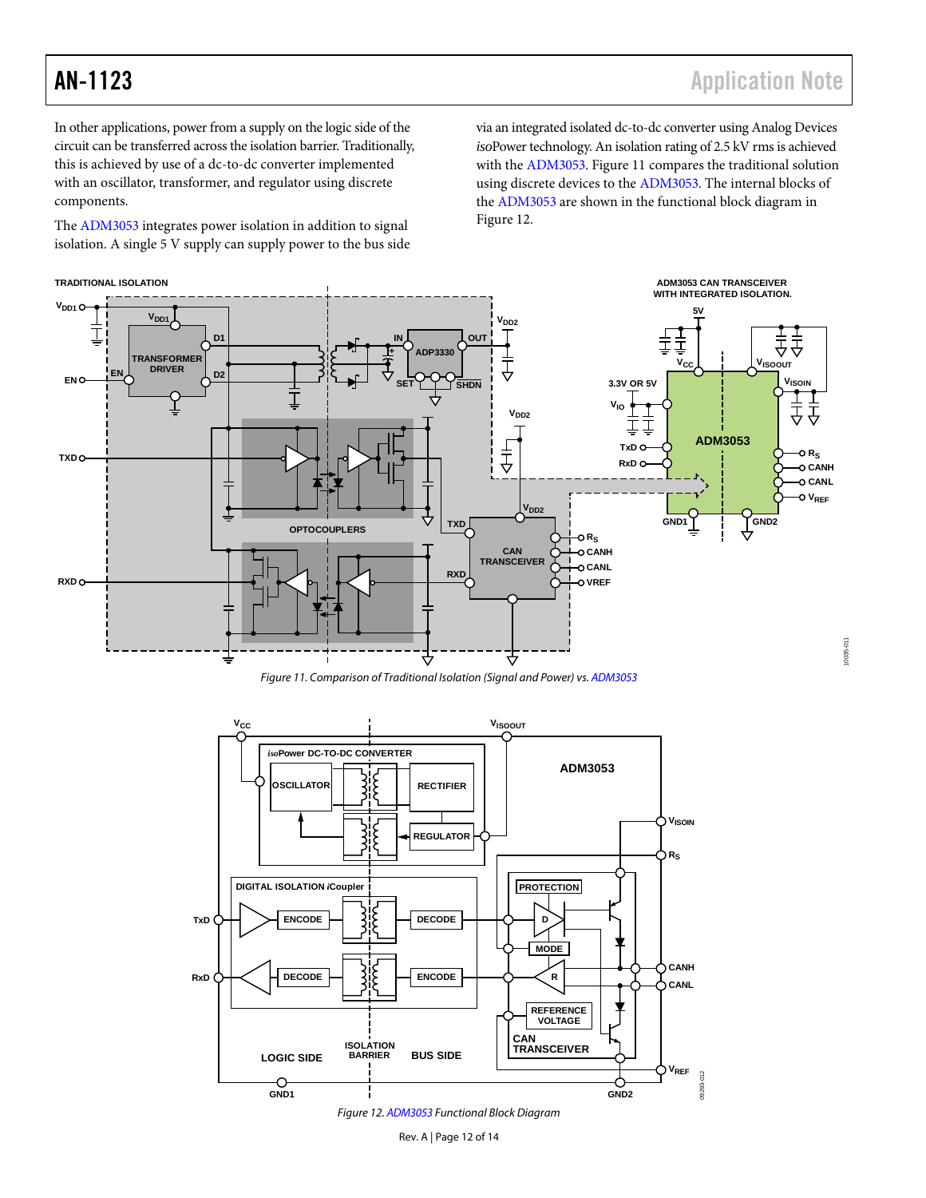10035-011

0035-01

In other applications, power from a supply on the logic side of the circuit can be transferred across the isolation barrier. Traditionally, this is achieved by use of a dc-to-dc converter implemented with an oscillator, transformer, and regulator using discrete components.

The [ADM3053](http://www.analog.com/ADM3053?doc=an-1123.pdf) integrates power isolation in addition to signal isolation. A single 5 V supply can supply power to the bus side via an integrated isolated dc-to-dc converter using Analog Devices *iso*Power technology. An isolation rating of 2.5 kV rms is achieved with th[e ADM3053.](http://www.analog.com/ADM3053?doc=an-1123.pdf) [Figure 11](#page-11-1) compares the traditional solution using discrete devices to the [ADM3053.](http://www.analog.com/ADM3053?doc=an-1123.pdf) The internal blocks of the [ADM3053](http://www.analog.com/ADM3053?doc=an-1123.pdf) are shown in the functional block diagram in [Figure 12.](#page-11-0) 

![](_page_11_Figure_5.jpeg)

Figure 11. Comparison of Traditional Isolation (Signal and Power) vs[. ADM3053](http://www.analog.com/ADM3053?doc=an-1123.pdf) 

<span id="page-11-1"></span>![](_page_11_Figure_7.jpeg)

<span id="page-11-0"></span>Figure 12[. ADM3053 F](http://www.analog.com/ADM3053?doc=an-1123.pdf)unctional Block Diagram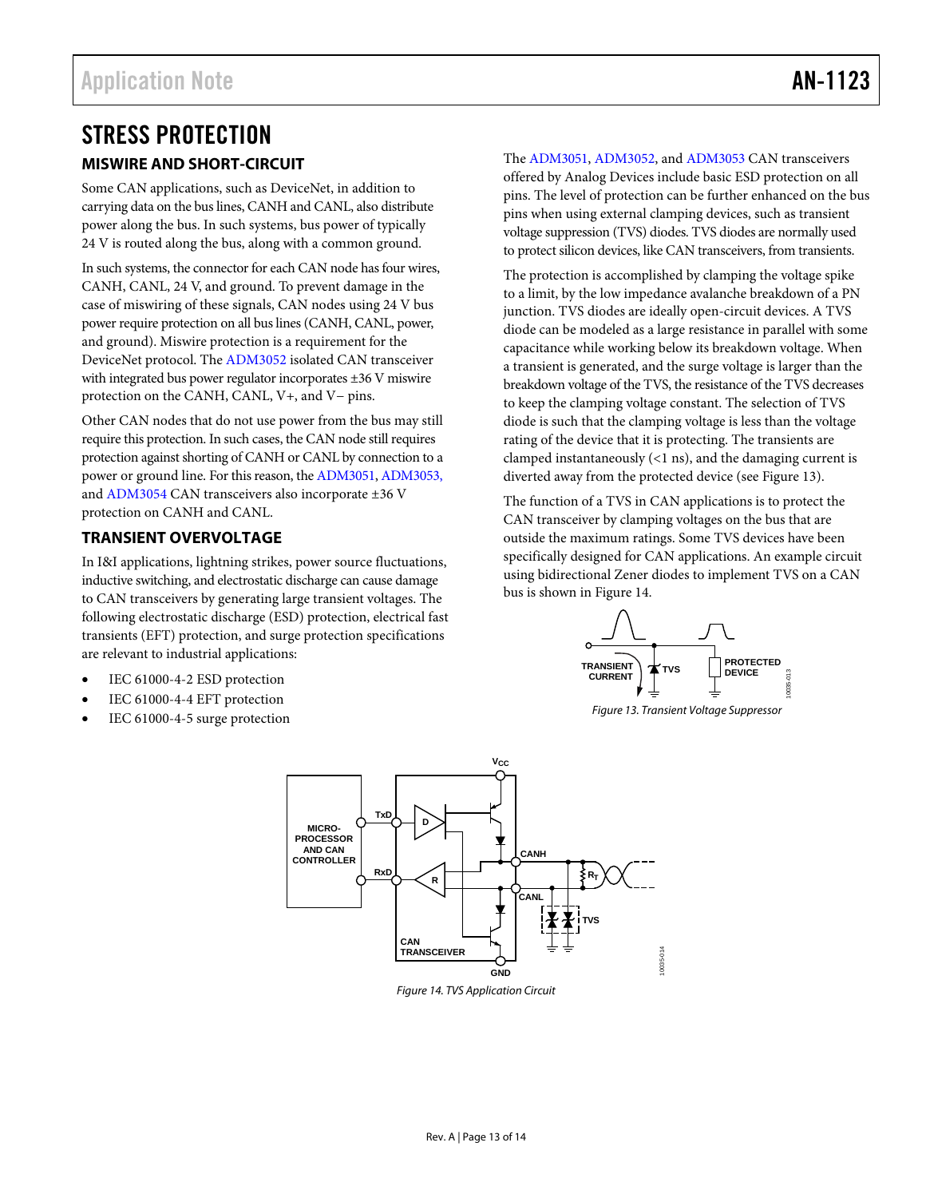## <span id="page-12-0"></span>STRESS PROTECTION

#### <span id="page-12-1"></span>**MISWIRE AND SHORT-CIRCUIT**

Some CAN applications, such as DeviceNet, in addition to carrying data on the bus lines, CANH and CANL, also distribute power along the bus. In such systems, bus power of typically 24 V is routed along the bus, along with a common ground.

In such systems, the connector for each CAN node has four wires, CANH, CANL, 24 V, and ground. To prevent damage in the case of miswiring of these signals, CAN nodes using 24 V bus power require protection on all bus lines (CANH, CANL, power, and ground). Miswire protection is a requirement for the DeviceNet protocol. Th[e ADM3052 i](http://www.analog.com/ADM3052?doc=an-1123.pdf)solated CAN transceiver with integrated bus power regulator incorporates ±36 V miswire protection on the CANH, CANL, V+, and V− pins.

Other CAN nodes that do not use power from the bus may still require this protection. In such cases, the CAN node still requires protection against shorting of CANH or CANL by connection to a power or ground line. For this reason, th[e ADM3051,](http://www.analog.com/ADM3051?doc=an-1123.pdf) [ADM3053,](http://www.analog.com/ADM3053?doc=an-1123.pdf) an[d ADM3054 C](http://www.analog.com/ADM3054?doc=an-1123.pdf)AN transceivers also incorporate ±36 V protection on CANH and CANL.

#### <span id="page-12-2"></span>**TRANSIENT OVERVOLTAGE**

In I&I applications, lightning strikes, power source fluctuations, inductive switching, and electrostatic discharge can cause damage to CAN transceivers by generating large transient voltages. The following electrostatic discharge (ESD) protection, electrical fast transients (EFT) protection, and surge protection specifications are relevant to industrial applications:

- IEC 61000-4-2 ESD protection
- IEC 61000-4-4 EFT protection
- <span id="page-12-4"></span>IEC 61000-4-5 surge protection

The [ADM3051,](http://www.analog.com/ADM3051?doc=an-1123.pdf) [ADM3052,](http://www.analog.com/ADM3052?doc=an-1123.pdf) and [ADM3053 C](http://www.analog.com/ADM3053?doc=an-1123.pdf)AN transceivers offered by Analog Devices include basic ESD protection on all pins. The level of protection can be further enhanced on the bus pins when using external clamping devices, such as transient voltage suppression (TVS) diodes. TVS diodes are normally used to protect silicon devices, like CAN transceivers, from transients.

The protection is accomplished by clamping the voltage spike to a limit, by the low impedance avalanche breakdown of a PN junction. TVS diodes are ideally open-circuit devices. A TVS diode can be modeled as a large resistance in parallel with some capacitance while working below its breakdown voltage. When a transient is generated, and the surge voltage is larger than the breakdown voltage of the TVS, the resistance of the TVS decreases to keep the clamping voltage constant. The selection of TVS diode is such that the clamping voltage is less than the voltage rating of the device that it is protecting. The transients are clamped instantaneously (<1 ns), and the damaging current is diverted away from the protected device (see [Figure 13\)](#page-12-3).

The function of a TVS in CAN applications is to protect the CAN transceiver by clamping voltages on the bus that are outside the maximum ratings. Some TVS devices have been specifically designed for CAN applications. An example circuit using bidirectional Zener diodes to implement TVS on a CAN bus is shown i[n Figure 14.](#page-12-4)

![](_page_12_Figure_15.jpeg)

<span id="page-12-3"></span>Figure 13. Transient Voltage Suppressor

![](_page_12_Figure_17.jpeg)

Figure 14. TVS Application Circuit